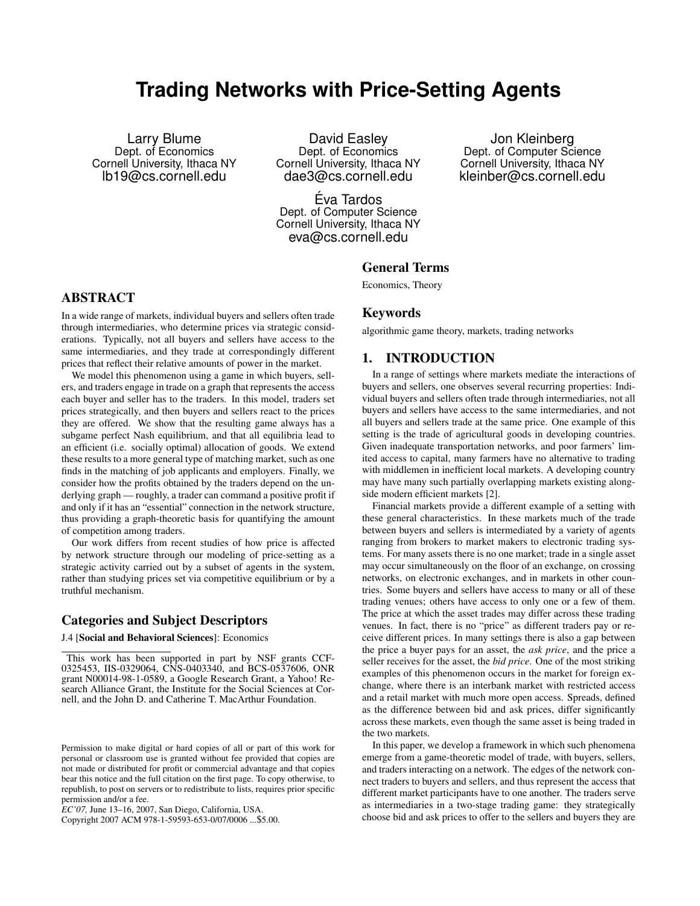# **Trading Networks with Price-Setting Agents**

Larry Blume Dept. of Economics Cornell University, Ithaca NY lb19@cs.cornell.edu

David Easley Dept. of Economics Cornell University, Ithaca NY dae3@cs.cornell.edu

Eva Tardos ´ Dept. of Computer Science Cornell University, Ithaca NY eva@cs.cornell.edu

Jon Kleinberg Dept. of Computer Science Cornell University, Ithaca NY kleinber@cs.cornell.edu

### General Terms

Economics, Theory

# ABSTRACT

In a wide range of markets, individual buyers and sellers often trade through intermediaries, who determine prices via strategic considerations. Typically, not all buyers and sellers have access to the same intermediaries, and they trade at correspondingly different prices that reflect their relative amounts of power in the market.

We model this phenomenon using a game in which buyers, sellers, and traders engage in trade on a graph that represents the access each buyer and seller has to the traders. In this model, traders set prices strategically, and then buyers and sellers react to the prices they are offered. We show that the resulting game always has a subgame perfect Nash equilibrium, and that all equilibria lead to an efficient (i.e. socially optimal) allocation of goods. We extend these results to a more general type of matching market, such as one finds in the matching of job applicants and employers. Finally, we consider how the profits obtained by the traders depend on the underlying graph — roughly, a trader can command a positive profit if and only if it has an "essential" connection in the network structure, thus providing a graph-theoretic basis for quantifying the amount of competition among traders.

Our work differs from recent studies of how price is affected by network structure through our modeling of price-setting as a strategic activity carried out by a subset of agents in the system, rather than studying prices set via competitive equilibrium or by a truthful mechanism.

# Categories and Subject Descriptors

#### J.4 [Social and Behavioral Sciences]: Economics

Copyright 2007 ACM 978-1-59593-653-0/07/0006 ...\$5.00.

# Keywords

algorithmic game theory, markets, trading networks

# 1. INTRODUCTION

In a range of settings where markets mediate the interactions of buyers and sellers, one observes several recurring properties: Individual buyers and sellers often trade through intermediaries, not all buyers and sellers have access to the same intermediaries, and not all buyers and sellers trade at the same price. One example of this setting is the trade of agricultural goods in developing countries. Given inadequate transportation networks, and poor farmers' limited access to capital, many farmers have no alternative to trading with middlemen in inefficient local markets. A developing country may have many such partially overlapping markets existing alongside modern efficient markets [2].

Financial markets provide a different example of a setting with these general characteristics. In these markets much of the trade between buyers and sellers is intermediated by a variety of agents ranging from brokers to market makers to electronic trading systems. For many assets there is no one market; trade in a single asset may occur simultaneously on the floor of an exchange, on crossing networks, on electronic exchanges, and in markets in other countries. Some buyers and sellers have access to many or all of these trading venues; others have access to only one or a few of them. The price at which the asset trades may differ across these trading venues. In fact, there is no "price" as different traders pay or receive different prices. In many settings there is also a gap between the price a buyer pays for an asset, the *ask price*, and the price a seller receives for the asset, the *bid price*. One of the most striking examples of this phenomenon occurs in the market for foreign exchange, where there is an interbank market with restricted access and a retail market with much more open access. Spreads, defined as the difference between bid and ask prices, differ significantly across these markets, even though the same asset is being traded in the two markets.

In this paper, we develop a framework in which such phenomena emerge from a game-theoretic model of trade, with buyers, sellers, and traders interacting on a network. The edges of the network connect traders to buyers and sellers, and thus represent the access that different market participants have to one another. The traders serve as intermediaries in a two-stage trading game: they strategically choose bid and ask prices to offer to the sellers and buyers they are

This work has been supported in part by NSF grants CCF-0325453, IIS-0329064, CNS-0403340, and BCS-0537606, ONR grant N00014-98-1-0589, a Google Research Grant, a Yahoo! Research Alliance Grant, the Institute for the Social Sciences at Cornell, and the John D. and Catherine T. MacArthur Foundation.

Permission to make digital or hard copies of all or part of this work for personal or classroom use is granted without fee provided that copies are not made or distributed for profit or commercial advantage and that copies bear this notice and the full citation on the first page. To copy otherwise, to republish, to post on servers or to redistribute to lists, requires prior specific permission and/or a fee.

*EC'07,* June 13–16, 2007, San Diego, California, USA.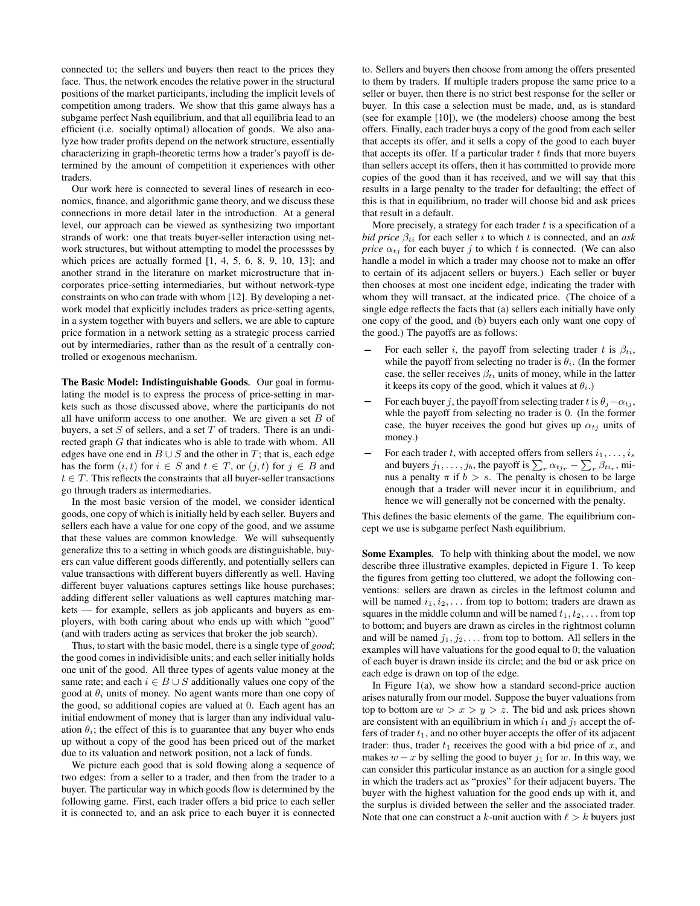connected to; the sellers and buyers then react to the prices they face. Thus, the network encodes the relative power in the structural positions of the market participants, including the implicit levels of competition among traders. We show that this game always has a subgame perfect Nash equilibrium, and that all equilibria lead to an efficient (i.e. socially optimal) allocation of goods. We also analyze how trader profits depend on the network structure, essentially characterizing in graph-theoretic terms how a trader's payoff is determined by the amount of competition it experiences with other traders.

Our work here is connected to several lines of research in economics, finance, and algorithmic game theory, and we discuss these connections in more detail later in the introduction. At a general level, our approach can be viewed as synthesizing two important strands of work: one that treats buyer-seller interaction using network structures, but without attempting to model the processses by which prices are actually formed [1, 4, 5, 6, 8, 9, 10, 13]; and another strand in the literature on market microstructure that incorporates price-setting intermediaries, but without network-type constraints on who can trade with whom [12]. By developing a network model that explicitly includes traders as price-setting agents, in a system together with buyers and sellers, we are able to capture price formation in a network setting as a strategic process carried out by intermediaries, rather than as the result of a centrally controlled or exogenous mechanism.

The Basic Model: Indistinguishable Goods*.* Our goal in formulating the model is to express the process of price-setting in markets such as those discussed above, where the participants do not all have uniform access to one another. We are given a set  $B$  of buyers, a set  $S$  of sellers, and a set  $T$  of traders. There is an undirected graph G that indicates who is able to trade with whom. All edges have one end in  $B \cup S$  and the other in T; that is, each edge has the form  $(i, t)$  for  $i \in S$  and  $t \in T$ , or  $(j, t)$  for  $j \in B$  and  $t \in T$ . This reflects the constraints that all buyer-seller transactions go through traders as intermediaries.

In the most basic version of the model, we consider identical goods, one copy of which is initially held by each seller. Buyers and sellers each have a value for one copy of the good, and we assume that these values are common knowledge. We will subsequently generalize this to a setting in which goods are distinguishable, buyers can value different goods differently, and potentially sellers can value transactions with different buyers differently as well. Having different buyer valuations captures settings like house purchases; adding different seller valuations as well captures matching markets — for example, sellers as job applicants and buyers as employers, with both caring about who ends up with which "good" (and with traders acting as services that broker the job search).

Thus, to start with the basic model, there is a single type of *good*; the good comes in individisible units; and each seller initially holds one unit of the good. All three types of agents value money at the same rate; and each  $i \in B \cup S$  additionally values one copy of the good at  $\theta_i$  units of money. No agent wants more than one copy of the good, so additional copies are valued at 0. Each agent has an initial endowment of money that is larger than any individual valuation  $\theta_i$ ; the effect of this is to guarantee that any buyer who ends up without a copy of the good has been priced out of the market due to its valuation and network position, not a lack of funds.

We picture each good that is sold flowing along a sequence of two edges: from a seller to a trader, and then from the trader to a buyer. The particular way in which goods flow is determined by the following game. First, each trader offers a bid price to each seller it is connected to, and an ask price to each buyer it is connected to. Sellers and buyers then choose from among the offers presented to them by traders. If multiple traders propose the same price to a seller or buyer, then there is no strict best response for the seller or buyer. In this case a selection must be made, and, as is standard (see for example [10]), we (the modelers) choose among the best offers. Finally, each trader buys a copy of the good from each seller that accepts its offer, and it sells a copy of the good to each buyer that accepts its offer. If a particular trader  $t$  finds that more buyers than sellers accept its offers, then it has committed to provide more copies of the good than it has received, and we will say that this results in a large penalty to the trader for defaulting; the effect of this is that in equilibrium, no trader will choose bid and ask prices that result in a default.

More precisely, a strategy for each trader  $t$  is a specification of a *bid price*  $\beta_{ti}$  for each seller *i* to which *t* is connected, and an *ask price*  $\alpha_{tj}$  for each buyer j to which t is connected. (We can also handle a model in which a trader may choose not to make an offer to certain of its adjacent sellers or buyers.) Each seller or buyer then chooses at most one incident edge, indicating the trader with whom they will transact, at the indicated price. (The choice of a single edge reflects the facts that (a) sellers each initially have only one copy of the good, and (b) buyers each only want one copy of the good.) The payoffs are as follows:

- For each seller i, the payoff from selecting trader t is  $\beta_{ti}$ , while the payoff from selecting no trader is  $\theta_i$ . (In the former case, the seller receives  $\beta_{ti}$  units of money, while in the latter it keeps its copy of the good, which it values at  $\theta_i$ .)
- For each buyer j, the payoff from selecting trader t is  $\theta_i \alpha_{ti}$ , whle the payoff from selecting no trader is 0. (In the former case, the buyer receives the good but gives up  $\alpha_{tj}$  units of money.)
- For each trader t, with accepted offers from sellers  $i_1, \ldots, i_s$ and buyers  $j_1, \ldots, j_b$ , the payoff is  $\sum_r \alpha_{tj_r} - \sum_r \beta_{t i_r}$ , minus a penalty  $\pi$  if  $b > s$ . The penalty is chosen to be large enough that a trader will never incur it in equilibrium, and hence we will generally not be concerned with the penalty.

This defines the basic elements of the game. The equilibrium concept we use is subgame perfect Nash equilibrium.

Some Examples*.* To help with thinking about the model, we now describe three illustrative examples, depicted in Figure 1. To keep the figures from getting too cluttered, we adopt the following conventions: sellers are drawn as circles in the leftmost column and will be named  $i_1, i_2, \ldots$  from top to bottom; traders are drawn as squares in the middle column and will be named  $t_1, t_2, \ldots$  from top to bottom; and buyers are drawn as circles in the rightmost column and will be named  $j_1, j_2, \ldots$  from top to bottom. All sellers in the examples will have valuations for the good equal to 0; the valuation of each buyer is drawn inside its circle; and the bid or ask price on each edge is drawn on top of the edge.

In Figure  $1(a)$ , we show how a standard second-price auction arises naturally from our model. Suppose the buyer valuations from top to bottom are  $w > x > y > z$ . The bid and ask prices shown are consistent with an equilibrium in which  $i_1$  and  $j_1$  accept the offers of trader  $t_1$ , and no other buyer accepts the offer of its adjacent trader: thus, trader  $t_1$  receives the good with a bid price of x, and makes  $w - x$  by selling the good to buyer  $j_1$  for w. In this way, we can consider this particular instance as an auction for a single good in which the traders act as "proxies" for their adjacent buyers. The buyer with the highest valuation for the good ends up with it, and the surplus is divided between the seller and the associated trader. Note that one can construct a k-unit auction with  $\ell > k$  buyers just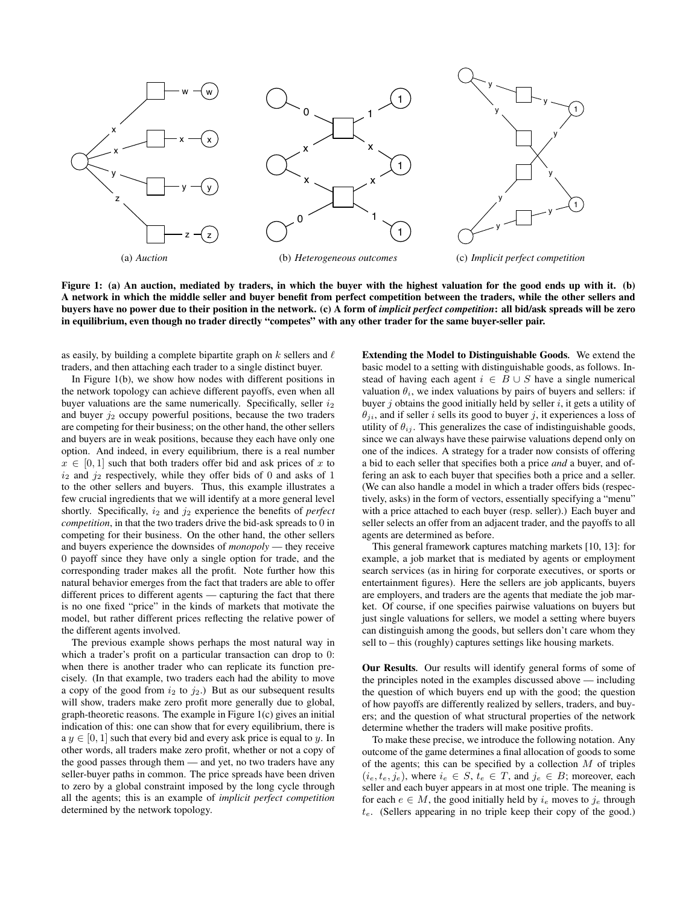

Figure 1: (a) An auction, mediated by traders, in which the buyer with the highest valuation for the good ends up with it. (b) A network in which the middle seller and buyer benefit from perfect competition between the traders, while the other sellers and buyers have no power due to their position in the network. (c) A form of *implicit perfect competition*: all bid/ask spreads will be zero in equilibrium, even though no trader directly "competes" with any other trader for the same buyer-seller pair.

as easily, by building a complete bipartite graph on  $k$  sellers and  $\ell$ traders, and then attaching each trader to a single distinct buyer.

In Figure 1(b), we show how nodes with different positions in the network topology can achieve different payoffs, even when all buyer valuations are the same numerically. Specifically, seller  $i_2$ and buyer  $j_2$  occupy powerful positions, because the two traders are competing for their business; on the other hand, the other sellers and buyers are in weak positions, because they each have only one option. And indeed, in every equilibrium, there is a real number  $x \in [0, 1]$  such that both traders offer bid and ask prices of x to  $i_2$  and  $j_2$  respectively, while they offer bids of 0 and asks of 1 to the other sellers and buyers. Thus, this example illustrates a few crucial ingredients that we will identify at a more general level shortly. Specifically, i<sup>2</sup> and j<sup>2</sup> experience the benefits of *perfect competition*, in that the two traders drive the bid-ask spreads to 0 in competing for their business. On the other hand, the other sellers and buyers experience the downsides of *monopoly* — they receive 0 payoff since they have only a single option for trade, and the corresponding trader makes all the profit. Note further how this natural behavior emerges from the fact that traders are able to offer different prices to different agents — capturing the fact that there is no one fixed "price" in the kinds of markets that motivate the model, but rather different prices reflecting the relative power of the different agents involved.

The previous example shows perhaps the most natural way in which a trader's profit on a particular transaction can drop to 0: when there is another trader who can replicate its function precisely. (In that example, two traders each had the ability to move a copy of the good from  $i_2$  to  $j_2$ .) But as our subsequent results will show, traders make zero profit more generally due to global, graph-theoretic reasons. The example in Figure 1(c) gives an initial indication of this: one can show that for every equilibrium, there is  $a y \in [0, 1]$  such that every bid and every ask price is equal to y. In other words, all traders make zero profit, whether or not a copy of the good passes through them — and yet, no two traders have any seller-buyer paths in common. The price spreads have been driven to zero by a global constraint imposed by the long cycle through all the agents; this is an example of *implicit perfect competition* determined by the network topology.

Extending the Model to Distinguishable Goods*.* We extend the basic model to a setting with distinguishable goods, as follows. Instead of having each agent  $i \in B \cup S$  have a single numerical valuation  $\theta_i$ , we index valuations by pairs of buyers and sellers: if buyer  $j$  obtains the good initially held by seller  $i$ , it gets a utility of  $\theta_{ji}$ , and if seller i sells its good to buyer j, it experiences a loss of utility of  $\theta_{ij}$ . This generalizes the case of indistinguishable goods, since we can always have these pairwise valuations depend only on one of the indices. A strategy for a trader now consists of offering a bid to each seller that specifies both a price *and* a buyer, and offering an ask to each buyer that specifies both a price and a seller. (We can also handle a model in which a trader offers bids (respectively, asks) in the form of vectors, essentially specifying a "menu" with a price attached to each buyer (resp. seller).) Each buyer and seller selects an offer from an adjacent trader, and the payoffs to all agents are determined as before.

This general framework captures matching markets [10, 13]: for example, a job market that is mediated by agents or employment search services (as in hiring for corporate executives, or sports or entertainment figures). Here the sellers are job applicants, buyers are employers, and traders are the agents that mediate the job market. Of course, if one specifies pairwise valuations on buyers but just single valuations for sellers, we model a setting where buyers can distinguish among the goods, but sellers don't care whom they sell to – this (roughly) captures settings like housing markets.

Our Results*.* Our results will identify general forms of some of the principles noted in the examples discussed above — including the question of which buyers end up with the good; the question of how payoffs are differently realized by sellers, traders, and buyers; and the question of what structural properties of the network determine whether the traders will make positive profits.

To make these precise, we introduce the following notation. Any outcome of the game determines a final allocation of goods to some of the agents; this can be specified by a collection  $M$  of triples  $(i_e, t_e, j_e)$ , where  $i_e \in S$ ,  $t_e \in T$ , and  $j_e \in B$ ; moreover, each seller and each buyer appears in at most one triple. The meaning is for each  $e \in M$ , the good initially held by  $i_e$  moves to  $j_e$  through  $t_e$ . (Sellers appearing in no triple keep their copy of the good.)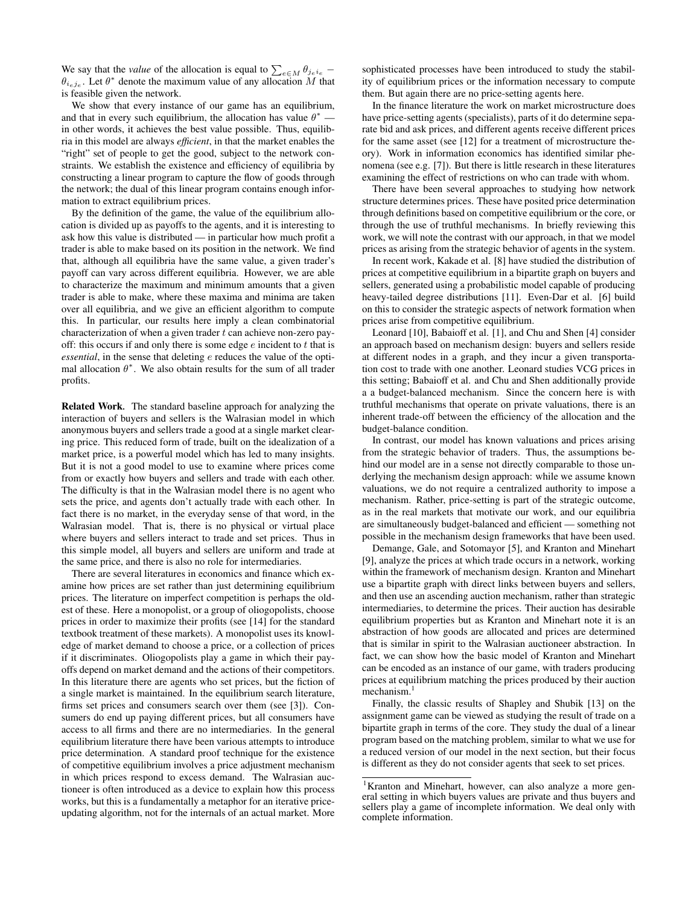We say that the *value* of the allocation is equal to  $\sum_{e \in M} \theta_{je^{i_e}}$  –  $\theta_{i_e j_e}$ . Let  $\theta^*$  denote the maximum value of any allocation M that is feasible given the network.

We show that every instance of our game has an equilibrium, and that in every such equilibrium, the allocation has value  $\theta^*$  in other words, it achieves the best value possible. Thus, equilibria in this model are always *efficient*, in that the market enables the "right" set of people to get the good, subject to the network constraints. We establish the existence and efficiency of equilibria by constructing a linear program to capture the flow of goods through the network; the dual of this linear program contains enough information to extract equilibrium prices.

By the definition of the game, the value of the equilibrium allocation is divided up as payoffs to the agents, and it is interesting to ask how this value is distributed — in particular how much profit a trader is able to make based on its position in the network. We find that, although all equilibria have the same value, a given trader's payoff can vary across different equilibria. However, we are able to characterize the maximum and minimum amounts that a given trader is able to make, where these maxima and minima are taken over all equilibria, and we give an efficient algorithm to compute this. In particular, our results here imply a clean combinatorial characterization of when a given trader  $t$  can achieve non-zero payoff: this occurs if and only there is some edge  $e$  incident to  $t$  that is *essential*, in the sense that deleting e reduces the value of the optimal allocation  $\theta^*$ . We also obtain results for the sum of all trader profits.

Related Work*.* The standard baseline approach for analyzing the interaction of buyers and sellers is the Walrasian model in which anonymous buyers and sellers trade a good at a single market clearing price. This reduced form of trade, built on the idealization of a market price, is a powerful model which has led to many insights. But it is not a good model to use to examine where prices come from or exactly how buyers and sellers and trade with each other. The difficulty is that in the Walrasian model there is no agent who sets the price, and agents don't actually trade with each other. In fact there is no market, in the everyday sense of that word, in the Walrasian model. That is, there is no physical or virtual place where buyers and sellers interact to trade and set prices. Thus in this simple model, all buyers and sellers are uniform and trade at the same price, and there is also no role for intermediaries.

There are several literatures in economics and finance which examine how prices are set rather than just determining equilibrium prices. The literature on imperfect competition is perhaps the oldest of these. Here a monopolist, or a group of oliogopolists, choose prices in order to maximize their profits (see [14] for the standard textbook treatment of these markets). A monopolist uses its knowledge of market demand to choose a price, or a collection of prices if it discriminates. Oliogopolists play a game in which their payoffs depend on market demand and the actions of their competitors. In this literature there are agents who set prices, but the fiction of a single market is maintained. In the equilibrium search literature, firms set prices and consumers search over them (see [3]). Consumers do end up paying different prices, but all consumers have access to all firms and there are no intermediaries. In the general equilibrium literature there have been various attempts to introduce price determination. A standard proof technique for the existence of competitive equilibrium involves a price adjustment mechanism in which prices respond to excess demand. The Walrasian auctioneer is often introduced as a device to explain how this process works, but this is a fundamentally a metaphor for an iterative priceupdating algorithm, not for the internals of an actual market. More sophisticated processes have been introduced to study the stability of equilibrium prices or the information necessary to compute them. But again there are no price-setting agents here.

In the finance literature the work on market microstructure does have price-setting agents (specialists), parts of it do determine separate bid and ask prices, and different agents receive different prices for the same asset (see [12] for a treatment of microstructure theory). Work in information economics has identified similar phenomena (see e.g. [7]). But there is little research in these literatures examining the effect of restrictions on who can trade with whom.

There have been several approaches to studying how network structure determines prices. These have posited price determination through definitions based on competitive equilibrium or the core, or through the use of truthful mechanisms. In briefly reviewing this work, we will note the contrast with our approach, in that we model prices as arising from the strategic behavior of agents in the system.

In recent work, Kakade et al. [8] have studied the distribution of prices at competitive equilibrium in a bipartite graph on buyers and sellers, generated using a probabilistic model capable of producing heavy-tailed degree distributions [11]. Even-Dar et al. [6] build on this to consider the strategic aspects of network formation when prices arise from competitive equilibrium.

Leonard [10], Babaioff et al. [1], and Chu and Shen [4] consider an approach based on mechanism design: buyers and sellers reside at different nodes in a graph, and they incur a given transportation cost to trade with one another. Leonard studies VCG prices in this setting; Babaioff et al. and Chu and Shen additionally provide a a budget-balanced mechanism. Since the concern here is with truthful mechanisms that operate on private valuations, there is an inherent trade-off between the efficiency of the allocation and the budget-balance condition.

In contrast, our model has known valuations and prices arising from the strategic behavior of traders. Thus, the assumptions behind our model are in a sense not directly comparable to those underlying the mechanism design approach: while we assume known valuations, we do not require a centralized authority to impose a mechanism. Rather, price-setting is part of the strategic outcome, as in the real markets that motivate our work, and our equilibria are simultaneously budget-balanced and efficient — something not possible in the mechanism design frameworks that have been used.

Demange, Gale, and Sotomayor [5], and Kranton and Minehart [9], analyze the prices at which trade occurs in a network, working within the framework of mechanism design. Kranton and Minehart use a bipartite graph with direct links between buyers and sellers, and then use an ascending auction mechanism, rather than strategic intermediaries, to determine the prices. Their auction has desirable equilibrium properties but as Kranton and Minehart note it is an abstraction of how goods are allocated and prices are determined that is similar in spirit to the Walrasian auctioneer abstraction. In fact, we can show how the basic model of Kranton and Minehart can be encoded as an instance of our game, with traders producing prices at equilibrium matching the prices produced by their auction mechanism.<sup>1</sup>

Finally, the classic results of Shapley and Shubik [13] on the assignment game can be viewed as studying the result of trade on a bipartite graph in terms of the core. They study the dual of a linear program based on the matching problem, similar to what we use for a reduced version of our model in the next section, but their focus is different as they do not consider agents that seek to set prices.

<sup>&</sup>lt;sup>1</sup>Kranton and Minehart, however, can also analyze a more general setting in which buyers values are private and thus buyers and sellers play a game of incomplete information. We deal only with complete information.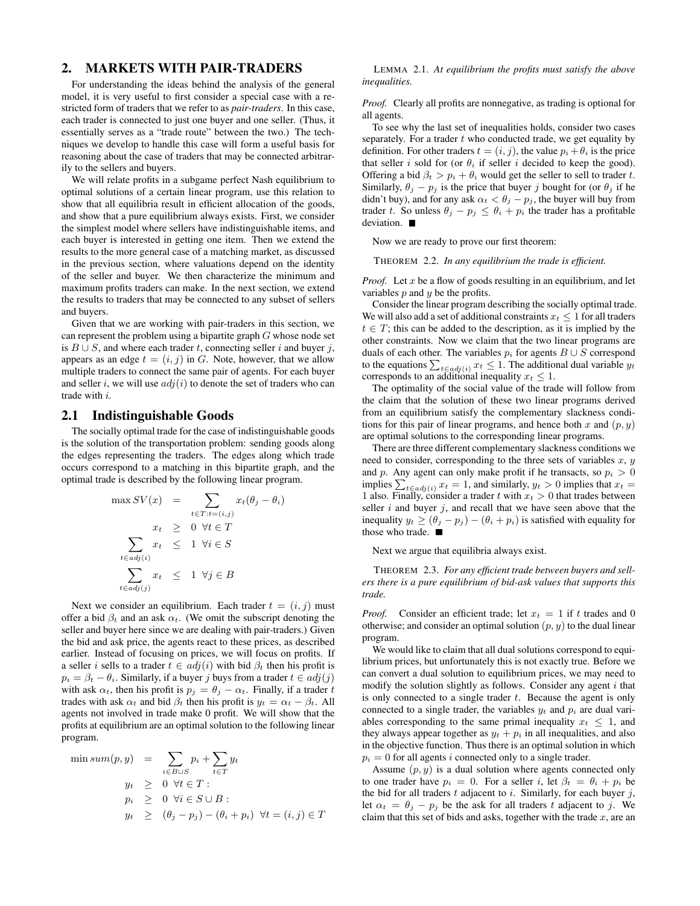# 2. MARKETS WITH PAIR-TRADERS

For understanding the ideas behind the analysis of the general model, it is very useful to first consider a special case with a restricted form of traders that we refer to as *pair-traders*. In this case, each trader is connected to just one buyer and one seller. (Thus, it essentially serves as a "trade route" between the two.) The techniques we develop to handle this case will form a useful basis for reasoning about the case of traders that may be connected arbitrarily to the sellers and buyers.

We will relate profits in a subgame perfect Nash equilibrium to optimal solutions of a certain linear program, use this relation to show that all equilibria result in efficient allocation of the goods, and show that a pure equilibrium always exists. First, we consider the simplest model where sellers have indistinguishable items, and each buyer is interested in getting one item. Then we extend the results to the more general case of a matching market, as discussed in the previous section, where valuations depend on the identity of the seller and buyer. We then characterize the minimum and maximum profits traders can make. In the next section, we extend the results to traders that may be connected to any subset of sellers and buyers.

Given that we are working with pair-traders in this section, we can represent the problem using a bipartite graph  $G$  whose node set is  $B \cup S$ , and where each trader t, connecting seller i and buyer j, appears as an edge  $t = (i, j)$  in G. Note, however, that we allow multiple traders to connect the same pair of agents. For each buyer and seller i, we will use  $adj(i)$  to denote the set of traders who can trade with i.

#### 2.1 Indistinguishable Goods

The socially optimal trade for the case of indistinguishable goods is the solution of the transportation problem: sending goods along the edges representing the traders. The edges along which trade occurs correspond to a matching in this bipartite graph, and the optimal trade is described by the following linear program.

$$
\max SV(x) = \sum_{t \in T: t = (i,j)} x_t(\theta_j - \theta_i)
$$

$$
x_t \geq 0 \quad \forall t \in T
$$

$$
\sum_{t \in adj(i)} x_t \leq 1 \quad \forall i \in S
$$

$$
\sum_{t \in adj(j)} x_t \leq 1 \quad \forall j \in B
$$

Next we consider an equilibrium. Each trader  $t = (i, j)$  must offer a bid  $\beta_t$  and an ask  $\alpha_t$ . (We omit the subscript denoting the seller and buyer here since we are dealing with pair-traders.) Given the bid and ask price, the agents react to these prices, as described earlier. Instead of focusing on prices, we will focus on profits. If a seller *i* sells to a trader  $t \in adj(i)$  with bid  $\beta_t$  then his profit is  $p_i = \beta_t - \theta_i$ . Similarly, if a buyer j buys from a trader  $t \in adj(j)$ with ask  $\alpha_t$ , then his profit is  $p_j = \theta_j - \alpha_t$ . Finally, if a trader t trades with ask  $\alpha_t$  and bid  $\beta_t$  then his profit is  $y_t = \alpha_t - \beta_t$ . All agents not involved in trade make 0 profit. We will show that the profits at equilibrium are an optimal solution to the following linear program.

$$
\min sum(p, y) = \sum_{i \in B \cup S} p_i + \sum_{t \in T} y_t
$$
  

$$
y_t \geq 0 \forall t \in T :
$$
  

$$
p_i \geq 0 \forall i \in S \cup B :
$$
  

$$
y_t \geq (\theta_j - p_j) - (\theta_i + p_i) \forall t = (i, j) \in T
$$

LEMMA 2.1. *At equilibrium the profits must satisfy the above inequalities.*

*Proof.* Clearly all profits are nonnegative, as trading is optional for all agents.

To see why the last set of inequalities holds, consider two cases separately. For a trader  $t$  who conducted trade, we get equality by definition. For other traders  $t = (i, j)$ , the value  $p_i + \theta_i$  is the price that seller i sold for (or  $\theta_i$  if seller i decided to keep the good). Offering a bid  $\beta_t > p_i + \theta_i$  would get the seller to sell to trader t. Similarly,  $\theta_j - p_j$  is the price that buyer j bought for (or  $\theta_j$  if he didn't buy), and for any ask  $\alpha_t < \theta_j - p_j$ , the buyer will buy from trader t. So unless  $\theta_j - p_j \leq \theta_i + p_i$  the trader has a profitable deviation.

Now we are ready to prove our first theorem:

THEOREM 2.2. *In any equilibrium the trade is efficient.*

*Proof.* Let x be a flow of goods resulting in an equilibrium, and let variables  $p$  and  $y$  be the profits.

Consider the linear program describing the socially optimal trade. We will also add a set of additional constraints  $x_t \leq 1$  for all traders  $t \in T$ ; this can be added to the description, as it is implied by the other constraints. Now we claim that the two linear programs are duals of each other. The variables  $p_i$  for agents  $B \cup S$  correspond to the equations  $\sum_{t \in adj(i)} x_t \leq 1$ . The additional dual variable  $y_t$ corresponds to an additional inequality  $x_t \leq 1$ .

The optimality of the social value of the trade will follow from the claim that the solution of these two linear programs derived from an equilibrium satisfy the complementary slackness conditions for this pair of linear programs, and hence both x and  $(p, y)$ are optimal solutions to the corresponding linear programs.

There are three different complementary slackness conditions we need to consider, corresponding to the three sets of variables  $x, y$ and p. Any agent can only make profit if he transacts, so  $p_i > 0$ implies  $\sum_{t \in adj(i)} x_t = 1$ , and similarly,  $y_t > 0$  implies that  $x_t =$ 1 also. Finally, consider a trader t with  $x_t > 0$  that trades between seller  $i$  and buyer  $j$ , and recall that we have seen above that the inequality  $y_t \geq (\theta_j - p_j) - (\theta_i + p_i)$  is satisfied with equality for those who trade.

Next we argue that equilibria always exist.

THEOREM 2.3. *For any efficient trade between buyers and sellers there is a pure equilibrium of bid-ask values that supports this trade.*

*Proof.* Consider an efficient trade; let  $x_t = 1$  if t trades and 0 otherwise; and consider an optimal solution  $(p, y)$  to the dual linear program.

We would like to claim that all dual solutions correspond to equilibrium prices, but unfortunately this is not exactly true. Before we can convert a dual solution to equilibrium prices, we may need to modify the solution slightly as follows. Consider any agent  $i$  that is only connected to a single trader  $t$ . Because the agent is only connected to a single trader, the variables  $y_t$  and  $p_i$  are dual variables corresponding to the same primal inequality  $x_t \leq 1$ , and they always appear together as  $y_t + p_i$  in all inequalities, and also in the objective function. Thus there is an optimal solution in which  $p_i = 0$  for all agents i connected only to a single trader.

Assume  $(p, y)$  is a dual solution where agents connected only to one trader have  $p_i = 0$ . For a seller i, let  $\beta_t = \theta_i + p_i$  be the bid for all traders  $t$  adjacent to  $i$ . Similarly, for each buyer  $j$ , let  $\alpha_t = \theta_j - p_j$  be the ask for all traders t adjacent to j. We claim that this set of bids and asks, together with the trade  $x$ , are an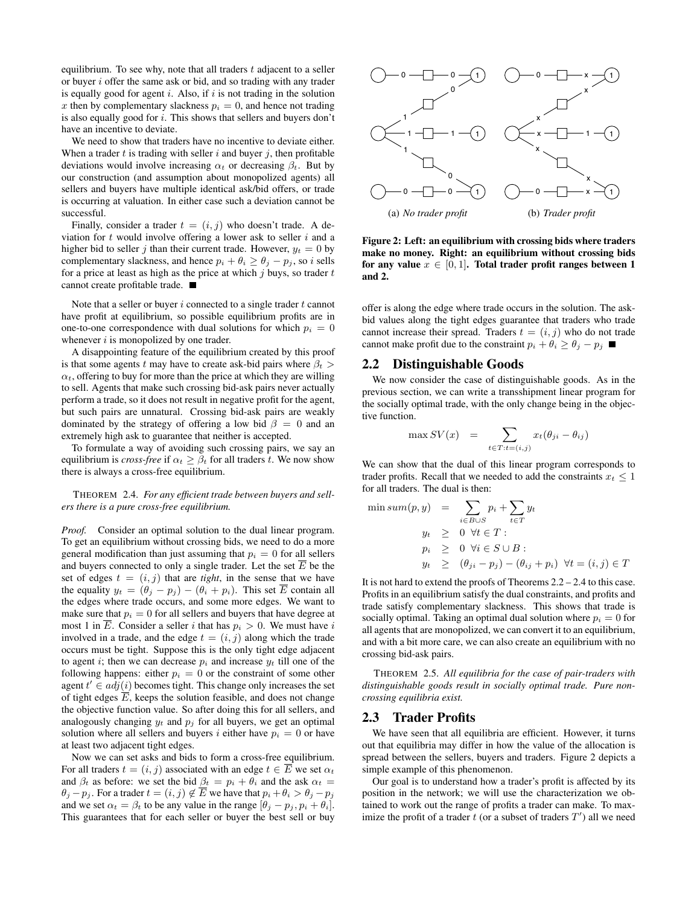equilibrium. To see why, note that all traders  $t$  adjacent to a seller or buyer i offer the same ask or bid, and so trading with any trader is equally good for agent  $i$ . Also, if  $i$  is not trading in the solution x then by complementary slackness  $p_i = 0$ , and hence not trading is also equally good for  $i$ . This shows that sellers and buyers don't have an incentive to deviate.

We need to show that traders have no incentive to deviate either. When a trader  $t$  is trading with seller  $i$  and buyer  $j$ , then profitable deviations would involve increasing  $\alpha_t$  or decreasing  $\beta_t$ . But by our construction (and assumption about monopolized agents) all sellers and buyers have multiple identical ask/bid offers, or trade is occurring at valuation. In either case such a deviation cannot be successful.

Finally, consider a trader  $t = (i, j)$  who doesn't trade. A deviation for  $t$  would involve offering a lower ask to seller  $i$  and a higher bid to seller j than their current trade. However,  $y_t = 0$  by complementary slackness, and hence  $p_i + \theta_i \ge \theta_j - p_j$ , so i sells for a price at least as high as the price at which  $j$  buys, so trader  $t$ cannot create profitable trade.

Note that a seller or buyer  $i$  connected to a single trader  $t$  cannot have profit at equilibrium, so possible equilibrium profits are in one-to-one correspondence with dual solutions for which  $p_i = 0$ whenever  $i$  is monopolized by one trader.

A disappointing feature of the equilibrium created by this proof is that some agents t may have to create ask-bid pairs where  $\beta_t$  $\alpha_t$ , offering to buy for more than the price at which they are willing to sell. Agents that make such crossing bid-ask pairs never actually perform a trade, so it does not result in negative profit for the agent, but such pairs are unnatural. Crossing bid-ask pairs are weakly dominated by the strategy of offering a low bid  $\beta = 0$  and an extremely high ask to guarantee that neither is accepted.

To formulate a way of avoiding such crossing pairs, we say an equilibrium is *cross-free* if  $\alpha_t \geq \beta_t$  for all traders t. We now show there is always a cross-free equilibrium.

THEOREM 2.4. *For any efficient trade between buyers and sellers there is a pure cross-free equilibrium.*

*Proof.* Consider an optimal solution to the dual linear program. To get an equilibrium without crossing bids, we need to do a more general modification than just assuming that  $p_i = 0$  for all sellers and buyers connected to only a single trader. Let the set  $\overline{E}$  be the set of edges  $t = (i, j)$  that are *tight*, in the sense that we have the equality  $y_t = (\theta_j - p_j) - (\theta_i + p_i)$ . This set  $\overline{E}$  contain all the edges where trade occurs, and some more edges. We want to make sure that  $p_i = 0$  for all sellers and buyers that have degree at most 1 in  $\overline{E}$ . Consider a seller *i* that has  $p_i > 0$ . We must have *i* involved in a trade, and the edge  $t = (i, j)$  along which the trade occurs must be tight. Suppose this is the only tight edge adjacent to agent i; then we can decrease  $p_i$  and increase  $y_t$  till one of the following happens: either  $p_i = 0$  or the constraint of some other agent  $t' \in adj(i)$  becomes tight. This change only increases the set of tight edges  $\overline{E}$ , keeps the solution feasible, and does not change the objective function value. So after doing this for all sellers, and analogously changing  $y_t$  and  $p_j$  for all buyers, we get an optimal solution where all sellers and buyers i either have  $p_i = 0$  or have at least two adjacent tight edges.

Now we can set asks and bids to form a cross-free equilibrium. For all traders  $t = (i, j)$  associated with an edge  $t \in E$  we set  $\alpha_t$ and  $\beta_t$  as before: we set the bid  $\beta_t = p_i + \theta_i$  and the ask  $\alpha_t =$  $\theta_j - p_j$ . For a trader  $t = (i, j) \notin \overline{E}$  we have that  $p_i + \theta_i > \theta_j - p_j$ and we set  $\alpha_t = \beta_t$  to be any value in the range  $[\theta_j - p_j, p_i + \theta_i]$ . This guarantees that for each seller or buyer the best sell or buy



Figure 2: Left: an equilibrium with crossing bids where traders make no money. Right: an equilibrium without crossing bids for any value  $x \in [0, 1]$ . Total trader profit ranges between 1 and 2.

offer is along the edge where trade occurs in the solution. The askbid values along the tight edges guarantee that traders who trade cannot increase their spread. Traders  $t = (i, j)$  who do not trade cannot make profit due to the constraint  $p_i + \theta_i \ge \theta_i - p_i$ 

# 2.2 Distinguishable Goods

We now consider the case of distinguishable goods. As in the previous section, we can write a transshipment linear program for the socially optimal trade, with the only change being in the objective function.

$$
\max SV(x) = \sum_{t \in T : t = (i,j)} x_t(\theta_{ji} - \theta_{ij})
$$

We can show that the dual of this linear program corresponds to trader profits. Recall that we needed to add the constraints  $x_t \leq 1$ for all traders. The dual is then:

$$
\begin{array}{rcl}\n\min sum(p, y) & = & \sum_{i \in B \cup S} p_i + \sum_{t \in T} y_t \\
y_t & \geq & 0 \ \forall t \in T : \\
p_i & \geq & 0 \ \forall i \in S \cup B : \\
y_t & \geq & (\theta_{ji} - p_j) - (\theta_{ij} + p_i) \ \forall t = (i, j) \in T\n\end{array}
$$

It is not hard to extend the proofs of Theorems 2.2 – 2.4 to this case. Profits in an equilibrium satisfy the dual constraints, and profits and trade satisfy complementary slackness. This shows that trade is socially optimal. Taking an optimal dual solution where  $p_i = 0$  for all agents that are monopolized, we can convert it to an equilibrium, and with a bit more care, we can also create an equilibrium with no crossing bid-ask pairs.

THEOREM 2.5. *All equilibria for the case of pair-traders with distinguishable goods result in socially optimal trade. Pure noncrossing equilibria exist.*

### 2.3 Trader Profits

We have seen that all equilibria are efficient. However, it turns out that equilibria may differ in how the value of the allocation is spread between the sellers, buyers and traders. Figure 2 depicts a simple example of this phenomenon.

Our goal is to understand how a trader's profit is affected by its position in the network; we will use the characterization we obtained to work out the range of profits a trader can make. To maximize the profit of a trader  $t$  (or a subset of traders  $T'$ ) all we need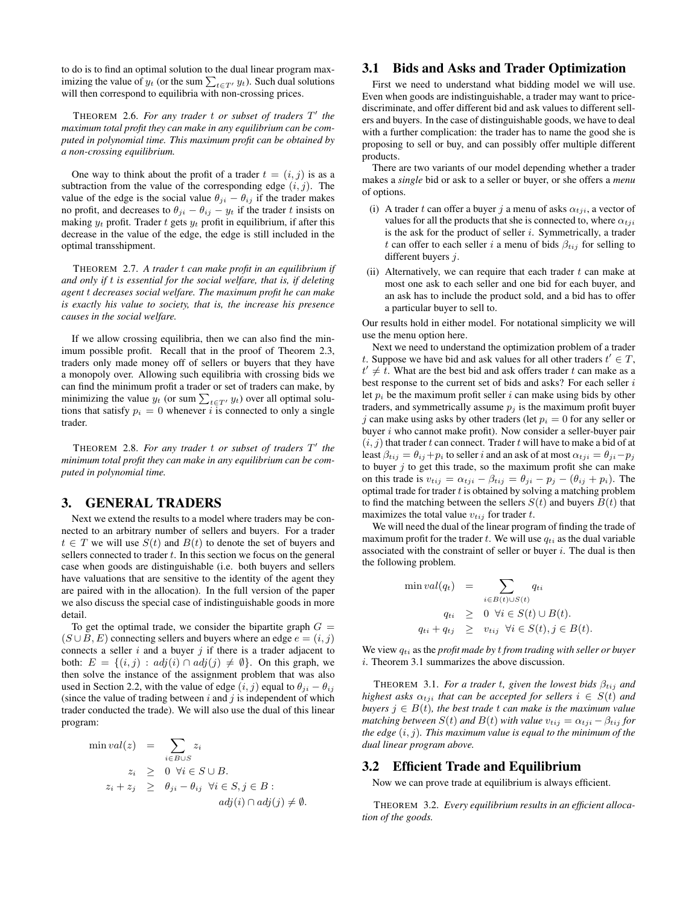to do is to find an optimal solution to the dual linear program maximizing the value of  $y_t$  (or the sum  $\sum_{t \in T} y_t$ ). Such dual solutions will then correspond to equilibria with non-crossing prices.

THEOREM 2.6. *For any trader* t *or subset of traders* T 0 *the maximum total profit they can make in any equilibrium can be computed in polynomial time. This maximum profit can be obtained by a non-crossing equilibrium.*

One way to think about the profit of a trader  $t = (i, j)$  is as a subtraction from the value of the corresponding edge  $(i, j)$ . The value of the edge is the social value  $\theta_{ji} - \theta_{ij}$  if the trader makes no profit, and decreases to  $\theta_{ji} - \theta_{ij} - y_t$  if the trader t insists on making  $y_t$  profit. Trader t gets  $y_t$  profit in equilibrium, if after this decrease in the value of the edge, the edge is still included in the optimal transshipment.

THEOREM 2.7. *A trader* t *can make profit in an equilibrium if and only if* t *is essential for the social welfare, that is, if deleting agent* t *decreases social welfare. The maximum profit he can make is exactly his value to society, that is, the increase his presence causes in the social welfare.*

If we allow crossing equilibria, then we can also find the minimum possible profit. Recall that in the proof of Theorem 2.3, traders only made money off of sellers or buyers that they have a monopoly over. Allowing such equilibria with crossing bids we can find the minimum profit a trader or set of traders can make, by minimizing the value  $y_t$  (or sum  $\sum_{t \in T'} y_t$ ) over all optimal solutions that satisfy  $p_i = 0$  whenever i is connected to only a single trader.

THEOREM 2.8. *For any trader* t *or subset of traders* T 0 *the minimum total profit they can make in any equilibrium can be computed in polynomial time.*

# 3. GENERAL TRADERS

Next we extend the results to a model where traders may be connected to an arbitrary number of sellers and buyers. For a trader  $t \in T$  we will use  $S(t)$  and  $B(t)$  to denote the set of buyers and sellers connected to trader  $t$ . In this section we focus on the general case when goods are distinguishable (i.e. both buyers and sellers have valuations that are sensitive to the identity of the agent they are paired with in the allocation). In the full version of the paper we also discuss the special case of indistinguishable goods in more detail.

To get the optimal trade, we consider the bipartite graph  $G =$  $(S \cup B, E)$  connecting sellers and buyers where an edge  $e = (i, j)$ connects a seller  $i$  and a buyer  $j$  if there is a trader adjacent to both:  $E = \{(i, j) : adj(i) \cap adj(j) \neq \emptyset\}$ . On this graph, we then solve the instance of the assignment problem that was also used in Section 2.2, with the value of edge  $(i, j)$  equal to  $\theta_{ji} - \theta_{ij}$ (since the value of trading between  $i$  and  $j$  is independent of which trader conducted the trade). We will also use the dual of this linear program:

$$
\min val(z) = \sum_{i \in B \cup S} z_i
$$
  
\n
$$
z_i \geq 0 \quad \forall i \in S \cup B.
$$
  
\n
$$
z_i + z_j \geq \theta_{ji} - \theta_{ij} \quad \forall i \in S, j \in B :
$$
  
\n
$$
adj(i) \cap adj(j) \neq \emptyset.
$$

# 3.1 Bids and Asks and Trader Optimization

First we need to understand what bidding model we will use. Even when goods are indistinguishable, a trader may want to pricediscriminate, and offer different bid and ask values to different sellers and buyers. In the case of distinguishable goods, we have to deal with a further complication: the trader has to name the good she is proposing to sell or buy, and can possibly offer multiple different products.

There are two variants of our model depending whether a trader makes a *single* bid or ask to a seller or buyer, or she offers a *menu* of options.

- (i) A trader t can offer a buyer j a menu of asks  $\alpha_{tji}$ , a vector of values for all the products that she is connected to, where  $\alpha_{tji}$ is the ask for the product of seller  $i$ . Symmetrically, a trader t can offer to each seller i a menu of bids  $\beta_{tij}$  for selling to different buyers *j*.
- (ii) Alternatively, we can require that each trader  $t$  can make at most one ask to each seller and one bid for each buyer, and an ask has to include the product sold, and a bid has to offer a particular buyer to sell to.

Our results hold in either model. For notational simplicity we will use the menu option here.

Next we need to understand the optimization problem of a trader t. Suppose we have bid and ask values for all other traders  $t' \in T$ ,  $t' \neq t$ . What are the best bid and ask offers trader t can make as a best response to the current set of bids and asks? For each seller  $i$ let  $p_i$  be the maximum profit seller i can make using bids by other traders, and symmetrically assume  $p_i$  is the maximum profit buyer j can make using asks by other traders (let  $p_i = 0$  for any seller or buyer  $i$  who cannot make profit). Now consider a seller-buyer pair  $(i, j)$  that trader t can connect. Trader t will have to make a bid of at least  $\beta_{tij} = \theta_{ij} + p_i$  to seller i and an ask of at most  $\alpha_{tji} = \theta_{ji} - p_j$ to buyer  $j$  to get this trade, so the maximum profit she can make on this trade is  $v_{tij} = \alpha_{tji} - \beta_{tij} = \theta_{ji} - p_i - (\theta_{ij} + p_i)$ . The optimal trade for trader  $t$  is obtained by solving a matching problem to find the matching between the sellers  $S(t)$  and buyers  $B(t)$  that maximizes the total value  $v_{tij}$  for trader t.

We will need the dual of the linear program of finding the trade of maximum profit for the trader t. We will use  $q_{ti}$  as the dual variable associated with the constraint of seller or buyer  $i$ . The dual is then the following problem.

$$
\min val(q_t) = \sum_{i \in B(t) \cup S(t)} q_{ti}
$$
\n
$$
q_{ti} \geq 0 \quad \forall i \in S(t) \cup B(t).
$$
\n
$$
q_{ti} + q_{tj} \geq v_{tij} \quad \forall i \in S(t), j \in B(t).
$$

We view  $q_{ti}$  as the *profit made by t from trading with seller or buyer* i. Theorem 3.1 summarizes the above discussion.

THEOREM 3.1. *For a trader t, given the lowest bids*  $\beta_{tij}$  *and highest asks*  $\alpha_{tji}$  *that can be accepted for sellers*  $i \in S(t)$  *and buyers*  $j \in B(t)$ *, the best trade t can make is the maximum value matching between*  $S(t)$  *and*  $B(t)$  *with value*  $v_{tij} = \alpha_{tji} - \beta_{tij}$  *for the edge* (i, j)*. This maximum value is equal to the minimum of the dual linear program above.*

# 3.2 Efficient Trade and Equilibrium

Now we can prove trade at equilibrium is always efficient.

THEOREM 3.2. *Every equilibrium results in an efficient allocation of the goods.*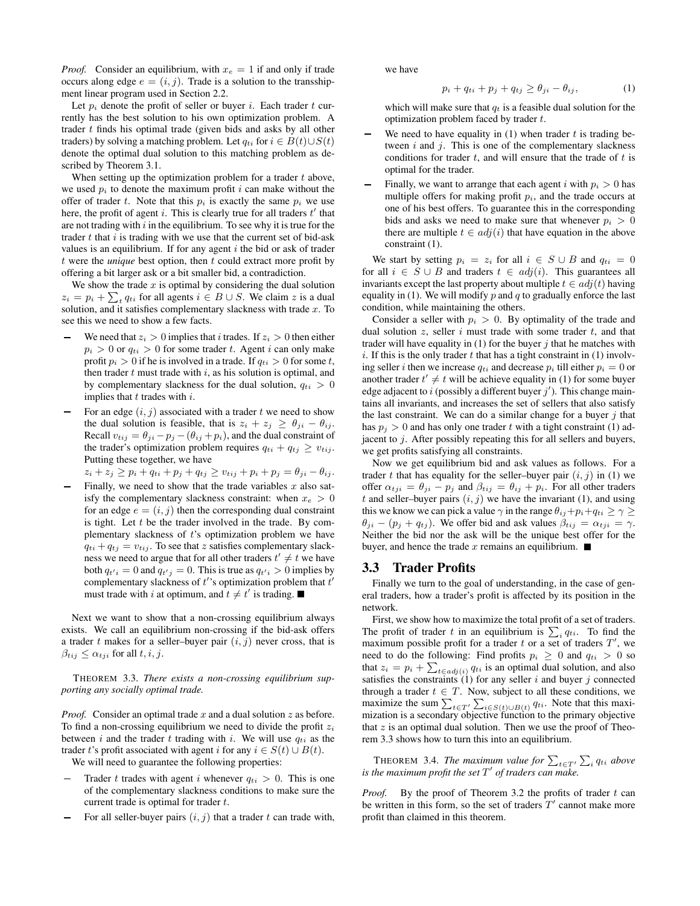*Proof.* Consider an equilibrium, with  $x_e = 1$  if and only if trade occurs along edge  $e = (i, j)$ . Trade is a solution to the transshipment linear program used in Section 2.2.

Let  $p_i$  denote the profit of seller or buyer i. Each trader t currently has the best solution to his own optimization problem. A trader  $t$  finds his optimal trade (given bids and asks by all other traders) by solving a matching problem. Let  $q_{ti}$  for  $i \in B(t) \cup S(t)$ denote the optimal dual solution to this matching problem as described by Theorem 3.1.

When setting up the optimization problem for a trader  $t$  above, we used  $p_i$  to denote the maximum profit i can make without the offer of trader t. Note that this  $p_i$  is exactly the same  $p_i$  we use here, the profit of agent i. This is clearly true for all traders  $t'$  that are not trading with  $i$  in the equilibrium. To see why it is true for the trader  $t$  that  $i$  is trading with we use that the current set of bid-ask values is an equilibrium. If for any agent  $i$  the bid or ask of trader  $t$  were the *unique* best option, then  $t$  could extract more profit by offering a bit larger ask or a bit smaller bid, a contradiction.

We show the trade  $x$  is optimal by considering the dual solution  $z_i = p_i + \sum_t q_{ti}$  for all agents  $i \in B \cup S$ . We claim z is a dual solution, and it satisfies complementary slackness with trade  $x$ . To see this we need to show a few facts.

- We need that  $z_i > 0$  implies that i trades. If  $z_i > 0$  then either  $p_i > 0$  or  $q_{ti} > 0$  for some trader t. Agent i can only make profit  $p_i > 0$  if he is involved in a trade. If  $q_{ti} > 0$  for some t, then trader  $t$  must trade with  $i$ , as his solution is optimal, and by complementary slackness for the dual solution,  $q_{ti} > 0$ implies that  $t$  trades with  $i$ .
- For an edge  $(i, j)$  associated with a trader t we need to show the dual solution is feasible, that is  $z_i + z_j \geq \theta_{ji} - \theta_{ij}$ . Recall  $v_{tij} = \theta_{ji} - p_j - (\theta_{ij} + p_i)$ , and the dual constraint of the trader's optimization problem requires  $q_{ti} + q_{tj} \ge v_{tij}$ . Putting these together, we have

 $z_i + z_j \ge p_i + q_{ti} + p_j + q_{tj} \ge v_{tij} + p_i + p_j = \theta_{ji} - \theta_{ij}.$ 

Finally, we need to show that the trade variables  $x$  also satisfy the complementary slackness constraint: when  $x_e > 0$ for an edge  $e = (i, j)$  then the corresponding dual constraint is tight. Let  $t$  be the trader involved in the trade. By complementary slackness of  $t$ 's optimization problem we have  $q_{ti} + q_{tj} = v_{tij}$ . To see that z satisfies complementary slackness we need to argue that for all other traders  $t' \neq t$  we have both  $q_{t'i} = 0$  and  $q_{t'j} = 0$ . This is true as  $q_{t'i} > 0$  implies by complementary slackness of  $t$ 's optimization problem that  $t'$ must trade with i at optimum, and  $t \neq t'$  is trading.

Next we want to show that a non-crossing equilibrium always exists. We call an equilibrium non-crossing if the bid-ask offers a trader  $t$  makes for a seller-buyer pair  $(i, j)$  never cross, that is  $\beta_{tij} \leq \alpha_{tji}$  for all  $t, i, j$ .

THEOREM 3.3. *There exists a non-crossing equilibrium supporting any socially optimal trade.*

*Proof.* Consider an optimal trade x and a dual solution z as before. To find a non-crossing equilibrium we need to divide the profit  $z_i$ between i and the trader t trading with i. We will use  $q_{ti}$  as the trader t's profit associated with agent i for any  $i \in S(t) \cup B(t)$ . We will need to guarantee the following properties:

- Trader t trades with agent i whenever  $q_{ti} > 0$ . This is one of the complementary slackness conditions to make sure the current trade is optimal for trader t.
- For all seller-buyer pairs  $(i, j)$  that a trader t can trade with,

we have

$$
p_i + q_{ti} + p_j + q_{tj} \ge \theta_{ji} - \theta_{ij}, \tag{1}
$$

which will make sure that  $q_t$  is a feasible dual solution for the optimization problem faced by trader  $t$ .

- We need to have equality in  $(1)$  when trader t is trading between  $i$  and  $j$ . This is one of the complementary slackness conditions for trader  $t$ , and will ensure that the trade of  $t$  is optimal for the trader.
- Finally, we want to arrange that each agent i with  $p_i > 0$  has multiple offers for making profit  $p_i$ , and the trade occurs at one of his best offers. To guarantee this in the corresponding bids and asks we need to make sure that whenever  $p_i > 0$ there are multiple  $t \in adj(i)$  that have equation in the above constraint (1).

We start by setting  $p_i = z_i$  for all  $i \in S \cup B$  and  $q_{ti} = 0$ for all  $i \in S \cup B$  and traders  $t \in adj(i)$ . This guarantees all invariants except the last property about multiple  $t \in adj(t)$  having equality in (1). We will modify  $p$  and  $q$  to gradually enforce the last condition, while maintaining the others.

Consider a seller with  $p_i > 0$ . By optimality of the trade and dual solution  $z$ , seller  $i$  must trade with some trader  $t$ , and that trader will have equality in (1) for the buyer  $j$  that he matches with i. If this is the only trader t that has a tight constraint in  $(1)$  involving seller *i* then we increase  $q_{ti}$  and decrease  $p_i$  till either  $p_i = 0$  or another trader  $t' \neq t$  will be achieve equality in (1) for some buyer edge adjacent to i (possibly a different buyer  $j'$ ). This change maintains all invariants, and increases the set of sellers that also satisfy the last constraint. We can do a similar change for a buyer  $j$  that has  $p_j > 0$  and has only one trader t with a tight constraint (1) adjacent to j. After possibly repeating this for all sellers and buyers, we get profits satisfying all constraints.

Now we get equilibrium bid and ask values as follows. For a trader t that has equality for the seller–buyer pair  $(i, j)$  in (1) we offer  $\alpha_{tji} = \theta_{ji} - p_j$  and  $\beta_{tij} = \theta_{ij} + p_i$ . For all other traders t and seller–buyer pairs  $(i, j)$  we have the invariant (1), and using this we know we can pick a value  $\gamma$  in the range  $\theta_{ij}+p_i+q_{ti} \ge \gamma \ge$  $\theta_{ji} - (p_j + q_{tj})$ . We offer bid and ask values  $\beta_{tij} = \alpha_{tji} = \gamma$ . Neither the bid nor the ask will be the unique best offer for the buyer, and hence the trade x remains an equilibrium.  $\blacksquare$ 

#### 3.3 Trader Profits

Finally we turn to the goal of understanding, in the case of general traders, how a trader's profit is affected by its position in the network.

First, we show how to maximize the total profit of a set of traders. The profit of trader t in an equilibrium is  $\sum_i q_{ti}$ . To find the maximum possible profit for a trader t or a set of traders  $T'$ , we need to do the following: Find profits  $p_i \geq 0$  and  $q_{ti} > 0$  so that  $z_i = p_i + \sum_{t \in adj(i)} q_{ti}$  is an optimal dual solution, and also satisfies the constraints  $(1)$  for any seller i and buyer j connected through a trader  $t \in T$ . Now, subject to all these conditions, we maximize the sum  $\sum_{t \in T'} \sum_{i \in S(t) \cup B(t)} q_{ti}$ . Note that this maximization is a secondary objective function to the primary objective that  $z$  is an optimal dual solution. Then we use the proof of Theorem 3.3 shows how to turn this into an equilibrium.

THEOREM 3.4. *The maximum value for*  $\sum_{t \in T'} \sum_i q_{ti}$  above *is the maximum profit the set*  $T'$  *of traders can make.* 

*Proof.* By the proof of Theorem 3.2 the profits of trader  $t$  can be written in this form, so the set of traders  $T'$  cannot make more profit than claimed in this theorem.